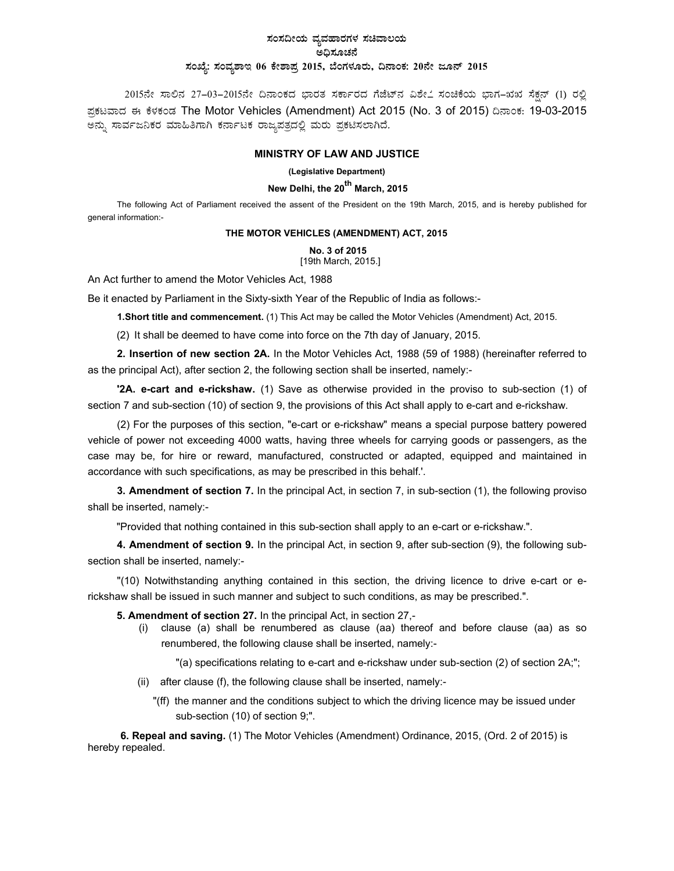# ಸಂಸದೀಯ ವ್ಯವಹಾರಗಳ ಸಚಿವಾಲ**ಯ** .<br>ಅದಿಸೂಚನೆ ಸಂಖ್ಯೆ: ಸಂವ್ಯಶಾಇ 06 ಕೇಶಾಪ್ರ 2015, ಬೆಂಗಳೂರು, ದಿನಾಂಕ: 20ನೇ ಜೂನ್ 2015

2015ನೇ ಸಾಲಿನ 27–03–2015ನೇ ದಿನಾಂಕದ ಭಾರತ ಸರ್ಕಾರದ ಗೆಜೆಟ್ನ ವಿಶೇ $\stackrel{1}{\sim}$  ಸಂಚಿಕೆಯ ಭಾಗ–ಋು ಸೆಕ್ಷನ್ (1) ರಲ್ಲಿ ಪ್ರಕಟವಾದ ಈ ಕೆಳಕಂಡ The Motor Vehicles (Amendment) Act 2015 (No. 3 of 2015) ದಿನಾಂಕ: 19-03-2015 ಅನ್ನು ಸಾರ್ವಜನಿಕರ ಮಾಹಿತಿಗಾಗಿ ಕರ್ನಾಟಕ ರಾಜ್ಯಪತ್ರದಲ್ಲಿ ಮರು ಪ್ರಕಟಿಸಲಾಗಿದೆ*.* 

### **MINISTRY OF LAW AND JUSTICE**

#### **(Legislative Department)**

## **New Delhi, the 20th March, 2015**

The following Act of Parliament received the assent of the President on the 19th March, 2015, and is hereby published for general information:-

#### **THE MOTOR VEHICLES (AMENDMENT) ACT, 2015**

**No. 3 of 2015**

[19th March, 2015.]

An Act further to amend the Motor Vehicles Act, 1988

Be it enacted by Parliament in the Sixty-sixth Year of the Republic of India as follows:-

**1. Short title and commencement.** (1) This Act may be called the Motor Vehicles (Amendment) Act, 2015.

(2) It shall be deemed to have come into force on the 7th day of January, 2015.

**2. Insertion of new section 2A.** In the Motor Vehicles Act, 1988 (59 of 1988) (hereinafter referred to as the principal Act), after section 2, the following section shall be inserted, namely:-

**'2A. e-cart and e-rickshaw.** (1) Save as otherwise provided in the proviso to sub-section (1) of section 7 and sub-section (10) of section 9, the provisions of this Act shall apply to e-cart and e-rickshaw.

(2) For the purposes of this section, "e-cart or e-rickshaw" means a special purpose battery powered vehicle of power not exceeding 4000 watts, having three wheels for carrying goods or passengers, as the case may be, for hire or reward, manufactured, constructed or adapted, equipped and maintained in accordance with such specifications, as may be prescribed in this behalf.'.

**3. Amendment of section 7.** In the principal Act, in section 7, in sub-section (1), the following proviso shall be inserted, namely:-

"Provided that nothing contained in this sub-section shall apply to an e-cart or e-rickshaw.".

**4. Amendment of section 9.** In the principal Act, in section 9, after sub-section (9), the following subsection shall be inserted, namely:-

"(10) Notwithstanding anything contained in this section, the driving licence to drive e-cart or erickshaw shall be issued in such manner and subject to such conditions, as may be prescribed.".

**5. Amendment of section 27.** In the principal Act, in section 27,-

(i) clause (a) shall be renumbered as clause (aa) thereof and before clause (aa) as so renumbered, the following clause shall be inserted, namely:-

"(a) specifications relating to e-cart and e-rickshaw under sub-section (2) of section 2A;";

- (ii) after clause (f), the following clause shall be inserted, namely:-
	- "(ff) the manner and the conditions subject to which the driving licence may be issued under sub-section (10) of section 9;".

**6. Repeal and saving.** (1) The Motor Vehicles (Amendment) Ordinance, 2015, (Ord. 2 of 2015) is hereby repealed.